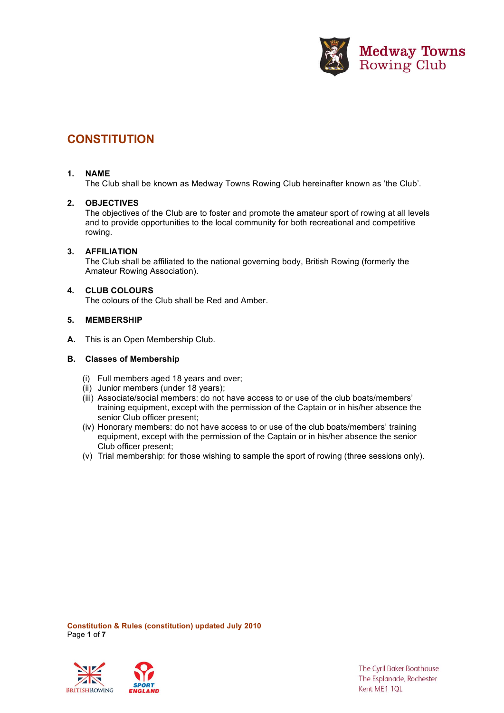

# **CONSTITUTION**

## **1. NAME**

The Club shall be known as Medway Towns Rowing Club hereinafter known as 'the Club'.

## **2. OBJECTIVES**

The objectives of the Club are to foster and promote the amateur sport of rowing at all levels and to provide opportunities to the local community for both recreational and competitive rowing.

# **3. AFFILIATION**

The Club shall be affiliated to the national governing body, British Rowing (formerly the Amateur Rowing Association).

## **4. CLUB COLOURS**

The colours of the Club shall be Red and Amber.

## **5. MEMBERSHIP**

**A.** This is an Open Membership Club.

### **B. Classes of Membership**

- (i) Full members aged 18 years and over;
- (ii) Junior members (under 18 years);
- (iii) Associate/social members: do not have access to or use of the club boats/members' training equipment, except with the permission of the Captain or in his/her absence the senior Club officer present;
- (iv) Honorary members: do not have access to or use of the club boats/members' training equipment, except with the permission of the Captain or in his/her absence the senior Club officer present;
- (v) Trial membership: for those wishing to sample the sport of rowing (three sessions only).

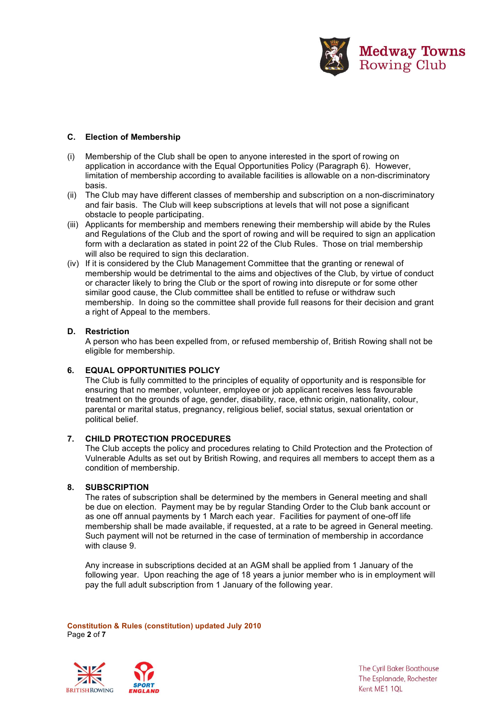

# **C. Election of Membership**

- (i) Membership of the Club shall be open to anyone interested in the sport of rowing on application in accordance with the Equal Opportunities Policy (Paragraph 6). However, limitation of membership according to available facilities is allowable on a non-discriminatory basis.
- (ii) The Club may have different classes of membership and subscription on a non-discriminatory and fair basis. The Club will keep subscriptions at levels that will not pose a significant obstacle to people participating.
- (iii) Applicants for membership and members renewing their membership will abide by the Rules and Regulations of the Club and the sport of rowing and will be required to sign an application form with a declaration as stated in point 22 of the Club Rules. Those on trial membership will also be required to sign this declaration.
- (iv) If it is considered by the Club Management Committee that the granting or renewal of membership would be detrimental to the aims and objectives of the Club, by virtue of conduct or character likely to bring the Club or the sport of rowing into disrepute or for some other similar good cause, the Club committee shall be entitled to refuse or withdraw such membership. In doing so the committee shall provide full reasons for their decision and grant a right of Appeal to the members.

# **D. Restriction**

A person who has been expelled from, or refused membership of, British Rowing shall not be eligible for membership.

# **6. EQUAL OPPORTUNITIES POLICY**

The Club is fully committed to the principles of equality of opportunity and is responsible for ensuring that no member, volunteer, employee or job applicant receives less favourable treatment on the grounds of age, gender, disability, race, ethnic origin, nationality, colour, parental or marital status, pregnancy, religious belief, social status, sexual orientation or political belief.

# **7. CHILD PROTECTION PROCEDURES**

The Club accepts the policy and procedures relating to Child Protection and the Protection of Vulnerable Adults as set out by British Rowing, and requires all members to accept them as a condition of membership.

# **8. SUBSCRIPTION**

The rates of subscription shall be determined by the members in General meeting and shall be due on election. Payment may be by regular Standing Order to the Club bank account or as one off annual payments by 1 March each year. Facilities for payment of one-off life membership shall be made available, if requested, at a rate to be agreed in General meeting. Such payment will not be returned in the case of termination of membership in accordance with clause 9.

Any increase in subscriptions decided at an AGM shall be applied from 1 January of the following year. Upon reaching the age of 18 years a junior member who is in employment will pay the full adult subscription from 1 January of the following year.

**Constitution & Rules (constitution) updated July 2010** Page **2** of **7**



**The Cyril Baker Boathouse** The Esplanade, Rochester Kent ME1 1QL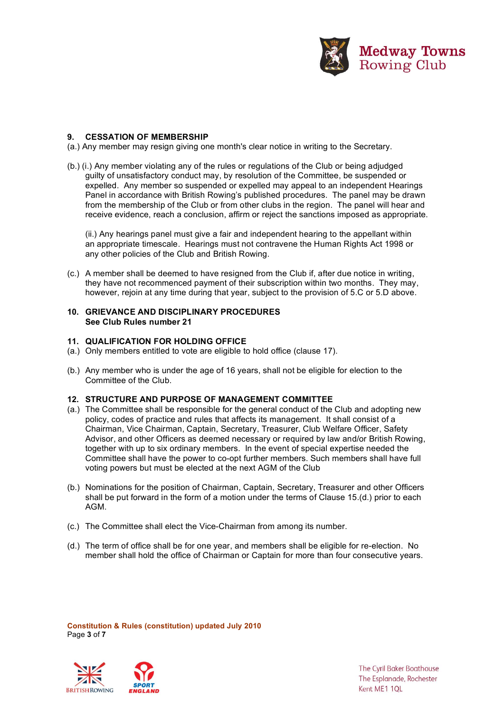

## **9. CESSATION OF MEMBERSHIP**

(a.) Any member may resign giving one month's clear notice in writing to the Secretary.

(b.) (i.) Any member violating any of the rules or regulations of the Club or being adjudged guilty of unsatisfactory conduct may, by resolution of the Committee, be suspended or expelled. Any member so suspended or expelled may appeal to an independent Hearings Panel in accordance with British Rowing's published procedures. The panel may be drawn from the membership of the Club or from other clubs in the region. The panel will hear and receive evidence, reach a conclusion, affirm or reject the sanctions imposed as appropriate.

(ii.) Any hearings panel must give a fair and independent hearing to the appellant within an appropriate timescale. Hearings must not contravene the Human Rights Act 1998 or any other policies of the Club and British Rowing.

(c.) A member shall be deemed to have resigned from the Club if, after due notice in writing, they have not recommenced payment of their subscription within two months. They may, however, rejoin at any time during that year, subject to the provision of 5.C or 5.D above.

## **10. GRIEVANCE AND DISCIPLINARY PROCEDURES See Club Rules number 21**

#### **11. QUALIFICATION FOR HOLDING OFFICE**

- (a.) Only members entitled to vote are eligible to hold office (clause 17).
- (b.) Any member who is under the age of 16 years, shall not be eligible for election to the Committee of the Club.

#### **12. STRUCTURE AND PURPOSE OF MANAGEMENT COMMITTEE**

- (a.) The Committee shall be responsible for the general conduct of the Club and adopting new policy, codes of practice and rules that affects its management. It shall consist of a Chairman, Vice Chairman, Captain, Secretary, Treasurer, Club Welfare Officer, Safety Advisor, and other Officers as deemed necessary or required by law and/or British Rowing, together with up to six ordinary members. In the event of special expertise needed the Committee shall have the power to co-opt further members. Such members shall have full voting powers but must be elected at the next AGM of the Club
- (b.) Nominations for the position of Chairman, Captain, Secretary, Treasurer and other Officers shall be put forward in the form of a motion under the terms of Clause 15.(d.) prior to each AGM.
- (c.) The Committee shall elect the Vice-Chairman from among its number.
- (d.) The term of office shall be for one year, and members shall be eligible for re-election. No member shall hold the office of Chairman or Captain for more than four consecutive years.

**Constitution & Rules (constitution) updated July 2010** Page **3** of **7**

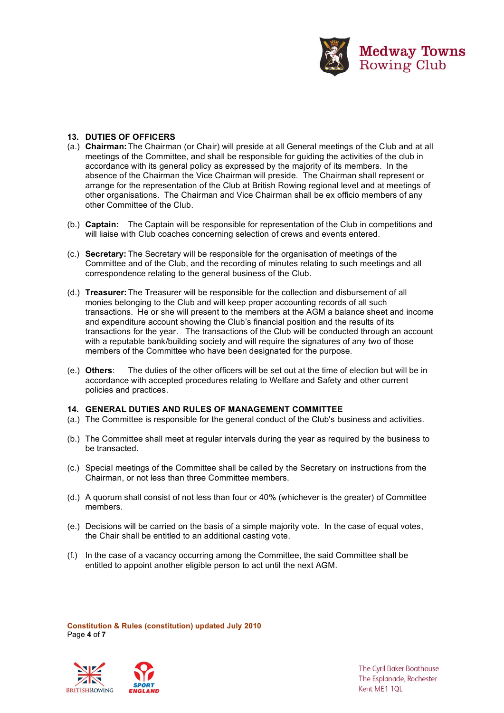

# **13. DUTIES OF OFFICERS**

- (a.) **Chairman:** The Chairman (or Chair) will preside at all General meetings of the Club and at all meetings of the Committee, and shall be responsible for guiding the activities of the club in accordance with its general policy as expressed by the majority of its members. In the absence of the Chairman the Vice Chairman will preside. The Chairman shall represent or arrange for the representation of the Club at British Rowing regional level and at meetings of other organisations. The Chairman and Vice Chairman shall be ex officio members of any other Committee of the Club.
- (b.) **Captain:** The Captain will be responsible for representation of the Club in competitions and will liaise with Club coaches concerning selection of crews and events entered.
- (c.) **Secretary:** The Secretary will be responsible for the organisation of meetings of the Committee and of the Club, and the recording of minutes relating to such meetings and all correspondence relating to the general business of the Club.
- (d.) **Treasurer:** The Treasurer will be responsible for the collection and disbursement of all monies belonging to the Club and will keep proper accounting records of all such transactions. He or she will present to the members at the AGM a balance sheet and income and expenditure account showing the Club's financial position and the results of its transactions for the year. The transactions of the Club will be conducted through an account with a reputable bank/building society and will require the signatures of any two of those members of the Committee who have been designated for the purpose.
- (e.) **Others**: The duties of the other officers will be set out at the time of election but will be in accordance with accepted procedures relating to Welfare and Safety and other current policies and practices.

#### **14. GENERAL DUTIES AND RULES OF MANAGEMENT COMMITTEE**

- (a.) The Committee is responsible for the general conduct of the Club's business and activities.
- (b.) The Committee shall meet at regular intervals during the year as required by the business to be transacted.
- (c.) Special meetings of the Committee shall be called by the Secretary on instructions from the Chairman, or not less than three Committee members.
- (d.) A quorum shall consist of not less than four or 40% (whichever is the greater) of Committee members.
- (e.) Decisions will be carried on the basis of a simple majority vote. In the case of equal votes, the Chair shall be entitled to an additional casting vote.
- (f.) In the case of a vacancy occurring among the Committee, the said Committee shall be entitled to appoint another eligible person to act until the next AGM.

**Constitution & Rules (constitution) updated July 2010** Page **4** of **7**

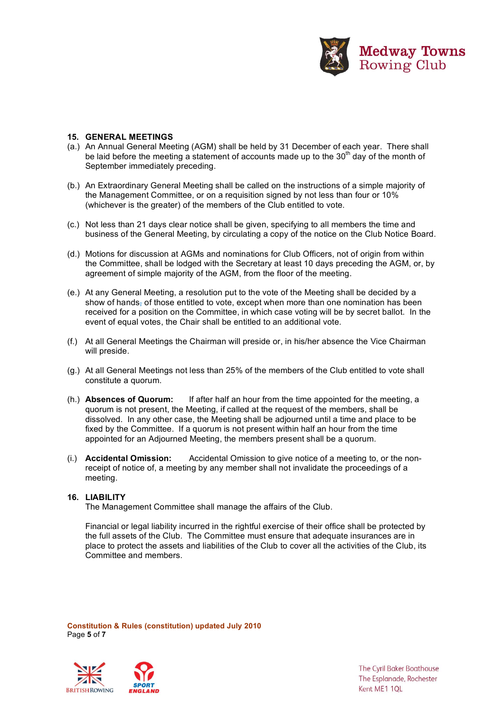

#### **15. GENERAL MEETINGS**

- (a.) An Annual General Meeting (AGM) shall be held by 31 December of each year. There shall be laid before the meeting a statement of accounts made up to the 30<sup>th</sup> day of the month of September immediately preceding.
- (b.) An Extraordinary General Meeting shall be called on the instructions of a simple majority of the Management Committee, or on a requisition signed by not less than four or 10% (whichever is the greater) of the members of the Club entitled to vote.
- (c.) Not less than 21 days clear notice shall be given, specifying to all members the time and business of the General Meeting, by circulating a copy of the notice on the Club Notice Board.
- (d.) Motions for discussion at AGMs and nominations for Club Officers, not of origin from within the Committee, shall be lodged with the Secretary at least 10 days preceding the AGM, or, by agreement of simple majority of the AGM, from the floor of the meeting.
- (e.) At any General Meeting, a resolution put to the vote of the Meeting shall be decided by a show of hands, of those entitled to vote, except when more than one nomination has been received for a position on the Committee, in which case voting will be by secret ballot. In the event of equal votes, the Chair shall be entitled to an additional vote.
- (f.) At all General Meetings the Chairman will preside or, in his/her absence the Vice Chairman will preside.
- (g.) At all General Meetings not less than 25% of the members of the Club entitled to vote shall constitute a quorum.
- (h.) **Absences of Quorum:** If after half an hour from the time appointed for the meeting, a quorum is not present, the Meeting, if called at the request of the members, shall be dissolved. In any other case, the Meeting shall be adjourned until a time and place to be fixed by the Committee. If a quorum is not present within half an hour from the time appointed for an Adjourned Meeting, the members present shall be a quorum.
- (i.) **Accidental Omission:** Accidental Omission to give notice of a meeting to, or the nonreceipt of notice of, a meeting by any member shall not invalidate the proceedings of a meeting.

### **16. LIABILITY**

The Management Committee shall manage the affairs of the Club.

Financial or legal liability incurred in the rightful exercise of their office shall be protected by the full assets of the Club. The Committee must ensure that adequate insurances are in place to protect the assets and liabilities of the Club to cover all the activities of the Club, its Committee and members.

**Constitution & Rules (constitution) updated July 2010** Page **5** of **7**



**The Cyril Baker Boathouse** The Esplanade, Rochester Kent ME1 1QL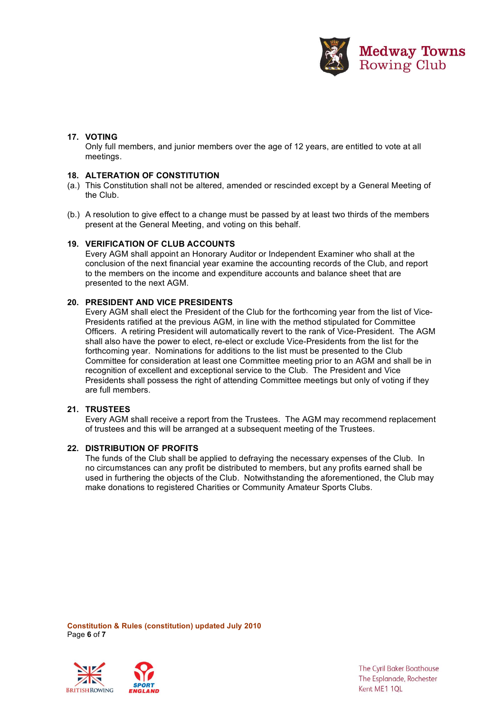

# **17. VOTING**

Only full members, and junior members over the age of 12 years, are entitled to vote at all meetings.

## **18. ALTERATION OF CONSTITUTION**

- (a.) This Constitution shall not be altered, amended or rescinded except by a General Meeting of the Club.
- (b.) A resolution to give effect to a change must be passed by at least two thirds of the members present at the General Meeting, and voting on this behalf.

## **19. VERIFICATION OF CLUB ACCOUNTS**

Every AGM shall appoint an Honorary Auditor or Independent Examiner who shall at the conclusion of the next financial year examine the accounting records of the Club, and report to the members on the income and expenditure accounts and balance sheet that are presented to the next AGM.

## **20. PRESIDENT AND VICE PRESIDENTS**

Every AGM shall elect the President of the Club for the forthcoming year from the list of Vice-Presidents ratified at the previous AGM, in line with the method stipulated for Committee Officers. A retiring President will automatically revert to the rank of Vice-President. The AGM shall also have the power to elect, re-elect or exclude Vice-Presidents from the list for the forthcoming year. Nominations for additions to the list must be presented to the Club Committee for consideration at least one Committee meeting prior to an AGM and shall be in recognition of excellent and exceptional service to the Club. The President and Vice Presidents shall possess the right of attending Committee meetings but only of voting if they are full members.

#### **21. TRUSTEES**

Every AGM shall receive a report from the Trustees. The AGM may recommend replacement of trustees and this will be arranged at a subsequent meeting of the Trustees.

#### **22. DISTRIBUTION OF PROFITS**

The funds of the Club shall be applied to defraying the necessary expenses of the Club. In no circumstances can any profit be distributed to members, but any profits earned shall be used in furthering the objects of the Club. Notwithstanding the aforementioned, the Club may make donations to registered Charities or Community Amateur Sports Clubs.

**Constitution & Rules (constitution) updated July 2010** Page **6** of **7**